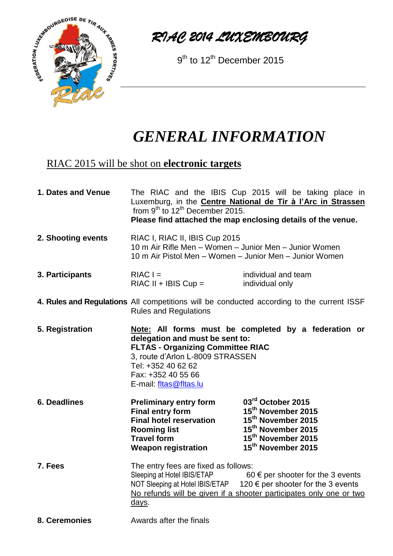

*RIAC 2014 LUXEMBOURG*

9<sup>th</sup> to 12<sup>th</sup> December 2015

## *GENERAL INFORMATION*

## RIAC 2015 will be shot on **electronic targets**

| 1. Dates and Venue | from $9^{th}$ to $12^{th}$ December 2015.                                                                                                                                                                                                                              | The RIAC and the IBIS Cup 2015 will be taking place in<br>Luxemburg, in the <b>Centre National de Tir à l'Arc in Strassen</b><br>Please find attached the map enclosing details of the venue. |
|--------------------|------------------------------------------------------------------------------------------------------------------------------------------------------------------------------------------------------------------------------------------------------------------------|-----------------------------------------------------------------------------------------------------------------------------------------------------------------------------------------------|
| 2. Shooting events | RIAC I, RIAC II, IBIS Cup 2015<br>10 m Air Rifle Men - Women - Junior Men - Junior Women<br>10 m Air Pistol Men – Women – Junior Men – Junior Women                                                                                                                    |                                                                                                                                                                                               |
| 3. Participants    | $RIACI =$<br>$RIAC II + IBIS Cup =$                                                                                                                                                                                                                                    | individual and team<br>individual only                                                                                                                                                        |
|                    | 4. Rules and Regulations All competitions will be conducted according to the current ISSF<br><b>Rules and Regulations</b>                                                                                                                                              |                                                                                                                                                                                               |
| 5. Registration    | Note: All forms must be completed by a federation or<br>delegation and must be sent to:<br><b>FLTAS - Organizing Committee RIAC</b><br>3, route d'Arlon L-8009 STRASSEN<br>Tel: +352 40 62 62<br>Fax: +352 40 55 66<br>E-mail: fltas@fltas.lu                          |                                                                                                                                                                                               |
| 6. Deadlines       | <b>Preliminary entry form</b><br><b>Final entry form</b><br><b>Final hotel reservation</b><br><b>Rooming list</b><br><b>Travel form</b><br><b>Weapon registration</b>                                                                                                  | 03rd October 2015<br>15 <sup>th</sup> November 2015<br>15 <sup>th</sup> November 2015<br>15 <sup>th</sup> November 2015<br>15 <sup>th</sup> November 2015<br>15 <sup>th</sup> November 2015   |
| 7. Fees            | The entry fees are fixed as follows:<br>Sleeping at Hotel IBIS/ETAP<br>60 $\epsilon$ per shooter for the 3 events<br>NOT Sleeping at Hotel IBIS/ETAP 120 € per shooter for the 3 events<br>No refunds will be given if a shooter participates only one or two<br>days. |                                                                                                                                                                                               |
| 8. Ceremonies      | Awards after the finals                                                                                                                                                                                                                                                |                                                                                                                                                                                               |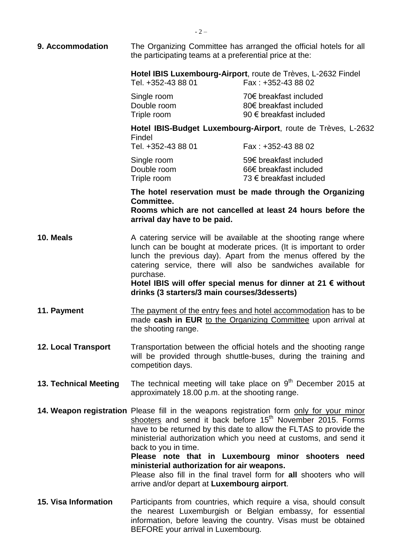| 9. Accommodation           | The Organizing Committee has arranged the official hotels for all<br>the participating teams at a preferential price at the:                                                                                                                                                                                                                                                                                                                                                                                                                                   |                                                                                                                                                                                                    |
|----------------------------|----------------------------------------------------------------------------------------------------------------------------------------------------------------------------------------------------------------------------------------------------------------------------------------------------------------------------------------------------------------------------------------------------------------------------------------------------------------------------------------------------------------------------------------------------------------|----------------------------------------------------------------------------------------------------------------------------------------------------------------------------------------------------|
|                            | Tel. +352-43 88 01                                                                                                                                                                                                                                                                                                                                                                                                                                                                                                                                             | Hotel IBIS Luxembourg-Airport, route de Trèves, L-2632 Findel<br>Fax: +352-43 88 02                                                                                                                |
|                            | Single room<br>Double room<br>Triple room                                                                                                                                                                                                                                                                                                                                                                                                                                                                                                                      | 70€ breakfast included<br>80€ breakfast included<br>90 € breakfast included                                                                                                                        |
|                            | Hotel IBIS-Budget Luxembourg-Airport, route de Trèves, L-2632<br>Findel<br>Tel. +352-43 88 01<br>Fax: +352-43 88 02                                                                                                                                                                                                                                                                                                                                                                                                                                            |                                                                                                                                                                                                    |
|                            | Single room<br>Double room<br>Triple room                                                                                                                                                                                                                                                                                                                                                                                                                                                                                                                      | 59€ breakfast included<br>66€ breakfast included<br>73 € breakfast included                                                                                                                        |
|                            | The hotel reservation must be made through the Organizing<br>Committee.<br>Rooms which are not cancelled at least 24 hours before the<br>arrival day have to be paid.                                                                                                                                                                                                                                                                                                                                                                                          |                                                                                                                                                                                                    |
| 10. Meals                  | A catering service will be available at the shooting range where<br>lunch can be bought at moderate prices. (It is important to order<br>lunch the previous day). Apart from the menus offered by the<br>catering service, there will also be sandwiches available for<br>purchase.<br>Hotel IBIS will offer special menus for dinner at 21 $\epsilon$ without<br>drinks (3 starters/3 main courses/3desserts)                                                                                                                                                 |                                                                                                                                                                                                    |
| 11. Payment                | The payment of the entry fees and hotel accommodation has to be<br>made cash in EUR to the Organizing Committee upon arrival at<br>the shooting range.                                                                                                                                                                                                                                                                                                                                                                                                         |                                                                                                                                                                                                    |
| <b>12. Local Transport</b> | Transportation between the official hotels and the shooting range<br>will be provided through shuttle-buses, during the training and<br>competition days.                                                                                                                                                                                                                                                                                                                                                                                                      |                                                                                                                                                                                                    |
| 13. Technical Meeting      | The technical meeting will take place on $9th$ December 2015 at<br>approximately 18.00 p.m. at the shooting range.                                                                                                                                                                                                                                                                                                                                                                                                                                             |                                                                                                                                                                                                    |
|                            | 14. Weapon registration Please fill in the weapons registration form only for your minor<br>shooters and send it back before 15 <sup>th</sup> November 2015. Forms<br>have to be returned by this date to allow the FLTAS to provide the<br>ministerial authorization which you need at customs, and send it<br>back to you in time.<br>Please note that in Luxembourg minor shooters need<br>ministerial authorization for air weapons.<br>Please also fill in the final travel form for all shooters who will<br>arrive and/or depart at Luxembourg airport. |                                                                                                                                                                                                    |
| 15. Visa Information       | BEFORE your arrival in Luxembourg.                                                                                                                                                                                                                                                                                                                                                                                                                                                                                                                             | Participants from countries, which require a visa, should consult<br>the nearest Luxemburgish or Belgian embassy, for essential<br>information, before leaving the country. Visas must be obtained |